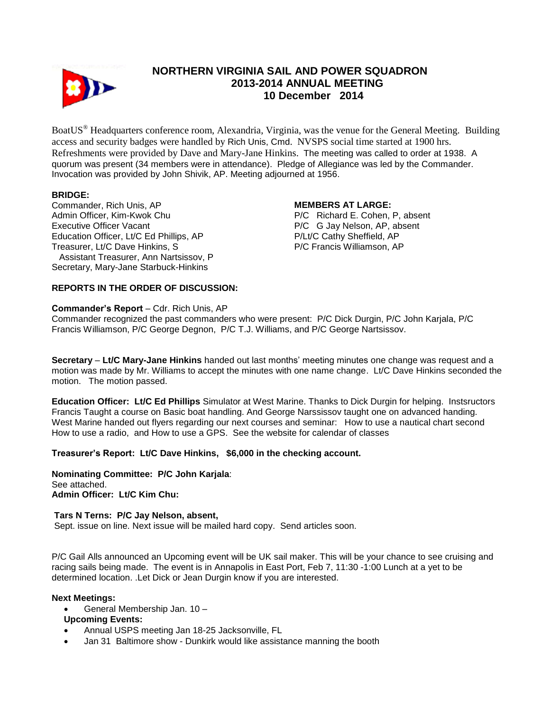

# **NORTHERN VIRGINIA SAIL AND POWER SQUADRON 2013-2014 ANNUAL MEETING 10 December 2014**

BoatUS® Headquarters conference room, Alexandria, Virginia, was the venue for the General Meeting. Building access and security badges were handled by Rich Unis, Cmd. NVSPS social time started at 1900 hrs. Refreshments were provided by Dave and Mary-Jane Hinkins. The meeting was called to order at 1938. A quorum was present (34 members were in attendance). Pledge of Allegiance was led by the Commander. Invocation was provided by John Shivik, AP. Meeting adjourned at 1956.

## **BRIDGE:**

Commander, Rich Unis, AP Admin Officer, Kim-Kwok Chu Executive Officer Vacant Education Officer, Lt/C Ed Phillips, AP Treasurer, Lt/C Dave Hinkins, S Assistant Treasurer, Ann Nartsissov, P Secretary, Mary-Jane Starbuck-Hinkins

#### **MEMBERS AT LARGE:**

P/C Richard E. Cohen, P, absent P/C G Jay Nelson, AP, absent P/Lt/C Cathy Sheffield, AP P/C Francis Williamson, AP

## **REPORTS IN THE ORDER OF DISCUSSION:**

#### **Commander's Report** – Cdr. Rich Unis, AP

Commander recognized the past commanders who were present: P/C Dick Durgin, P/C John Karjala, P/C Francis Williamson, P/C George Degnon, P/C T.J. Williams, and P/C George Nartsissov.

**Secretary** – **Lt/C Mary-Jane Hinkins** handed out last months' meeting minutes one change was request and a motion was made by Mr. Williams to accept the minutes with one name change. Lt/C Dave Hinkins seconded the motion. The motion passed.

**Education Officer: Lt/C Ed Phillips** Simulator at West Marine. Thanks to Dick Durgin for helping. Instsructors Francis Taught a course on Basic boat handling. And George Narssissov taught one on advanced handing. West Marine handed out flyers regarding our next courses and seminar: How to use a nautical chart second How to use a radio, and How to use a GPS. See the website for calendar of classes

#### **Treasurer's Report: Lt/C Dave Hinkins, \$6,000 in the checking account.**

**Nominating Committee: P/C John Karjala**: See attached. **Admin Officer: Lt/C Kim Chu:**

#### **Tars N Terns: P/C Jay Nelson, absent,**

Sept. issue on line. Next issue will be mailed hard copy. Send articles soon.

P/C Gail Alls announced an Upcoming event will be UK sail maker. This will be your chance to see cruising and racing sails being made. The event is in Annapolis in East Port, Feb 7, 11:30 -1:00 Lunch at a yet to be determined location. .Let Dick or Jean Durgin know if you are interested.

#### **Next Meetings:**

General Membership Jan. 10 –

#### **Upcoming Events:**

- Annual USPS meeting Jan 18-25 Jacksonville, FL
- Jan 31 Baltimore show Dunkirk would like assistance manning the booth